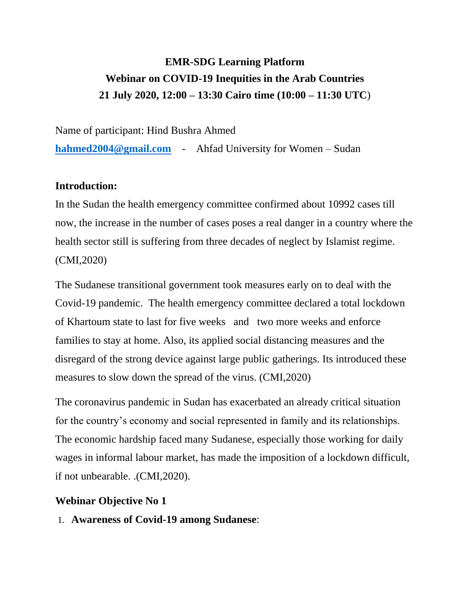# **EMR-SDG Learning Platform Webinar on COVID-19 Inequities in the Arab Countries 21 July 2020, 12:00 – 13:30 Cairo time (10:00 – 11:30 UTC**)

Name of participant: Hind Bushra Ahmed

**[hahmed2004@gmail.com](mailto:hahmed2004@gmail.com)** - Ahfad University for Women – Sudan

### **Introduction:**

In the Sudan the health emergency committee confirmed about 10992 cases till now, the increase in the number of cases poses a real danger in a country where the health sector still is suffering from three decades of neglect by Islamist regime. (CMI,2020)

The Sudanese transitional government took measures early on to deal with the Covid-19 pandemic. The health emergency committee declared a total lockdown of Khartoum state to last for five weeks and two more weeks and enforce families to stay at home. Also, its applied social distancing measures and the disregard of the strong device against large public gatherings. Its introduced these measures to slow down the spread of the virus. (CMI,2020)

The coronavirus pandemic in Sudan has exacerbated an already critical situation for the country's economy and social represented in family and its relationships. The economic hardship faced many Sudanese, especially those working for daily wages in informal labour market, has made the imposition of a lockdown difficult, if not unbearable. .(CMI,2020).

### **Webinar Objective No 1**

1. **Awareness of Covid-19 among Sudanese**: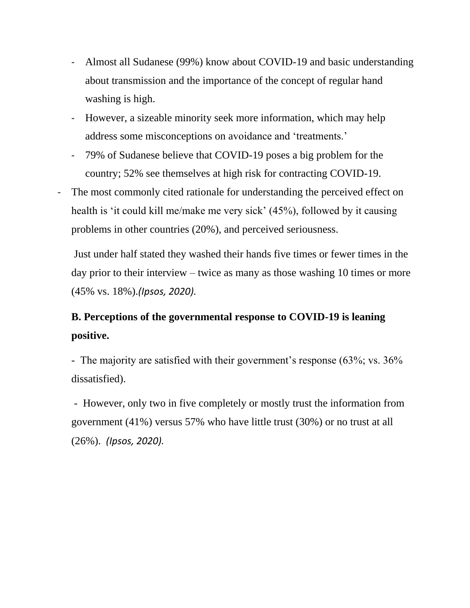- Almost all Sudanese (99%) know about COVID-19 and basic understanding about transmission and the importance of the concept of regular hand washing is high.
- However, a sizeable minority seek more information, which may help address some misconceptions on avoidance and 'treatments.'
- 79% of Sudanese believe that COVID-19 poses a big problem for the country; 52% see themselves at high risk for contracting COVID-19.
- The most commonly cited rationale for understanding the perceived effect on health is 'it could kill me/make me very sick' (45%), followed by it causing problems in other countries (20%), and perceived seriousness.

Just under half stated they washed their hands five times or fewer times in the day prior to their interview – twice as many as those washing 10 times or more (45% vs. 18%).*(Ipsos, 2020).*

## **B. Perceptions of the governmental response to COVID-19 is leaning positive.**

- The majority are satisfied with their government's response (63%; vs. 36%) dissatisfied).

- However, only two in five completely or mostly trust the information from government (41%) versus 57% who have little trust (30%) or no trust at all (26%). *(Ipsos, 2020).*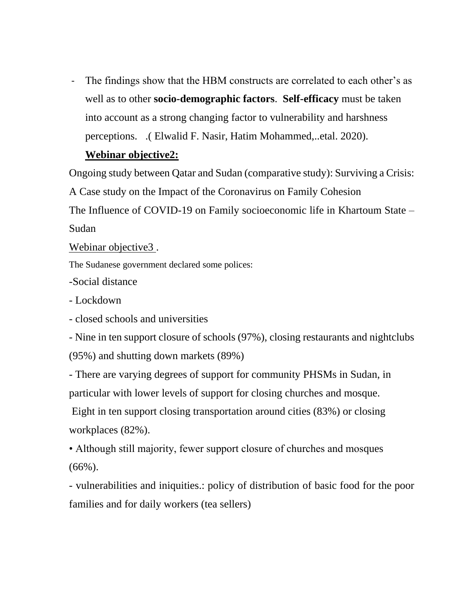The findings show that the HBM constructs are correlated to each other's as well as to other **socio-demographic factors**. **Self-efficacy** must be taken into account as a strong changing factor to vulnerability and harshness perceptions. .( Elwalid F. Nasir, Hatim Mohammed,..etal. 2020).

#### **Webinar objective2:**

Ongoing study between Qatar and Sudan (comparative study): Surviving a Crisis: A Case study on the Impact of the Coronavirus on Family Cohesion The Influence of COVID-19 on Family socioeconomic life in Khartoum State – Sudan

Webinar objective3.

The Sudanese government declared some polices:

-Social distance

- Lockdown

- closed schools and universities

- Nine in ten support closure of schools (97%), closing restaurants and nightclubs (95%) and shutting down markets (89%)

- There are varying degrees of support for community PHSMs in Sudan, in particular with lower levels of support for closing churches and mosque.

Eight in ten support closing transportation around cities (83%) or closing workplaces (82%).

• Although still majority, fewer support closure of churches and mosques  $(66\%)$ .

- vulnerabilities and iniquities.: policy of distribution of basic food for the poor families and for daily workers (tea sellers)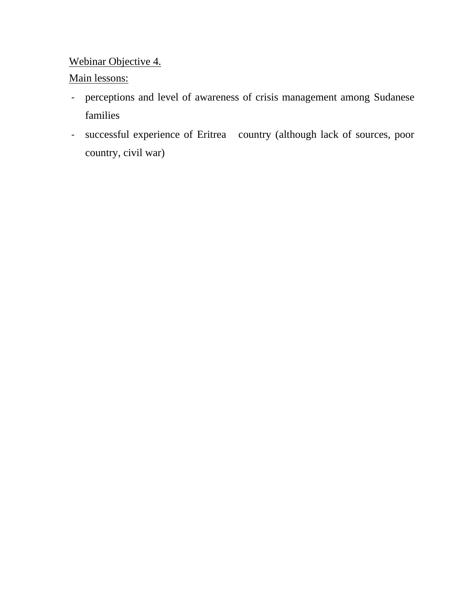### Webinar Objective 4.

### Main lessons:

- perceptions and level of awareness of crisis management among Sudanese families
- successful experience of Eritrea country (although lack of sources, poor country, civil war)